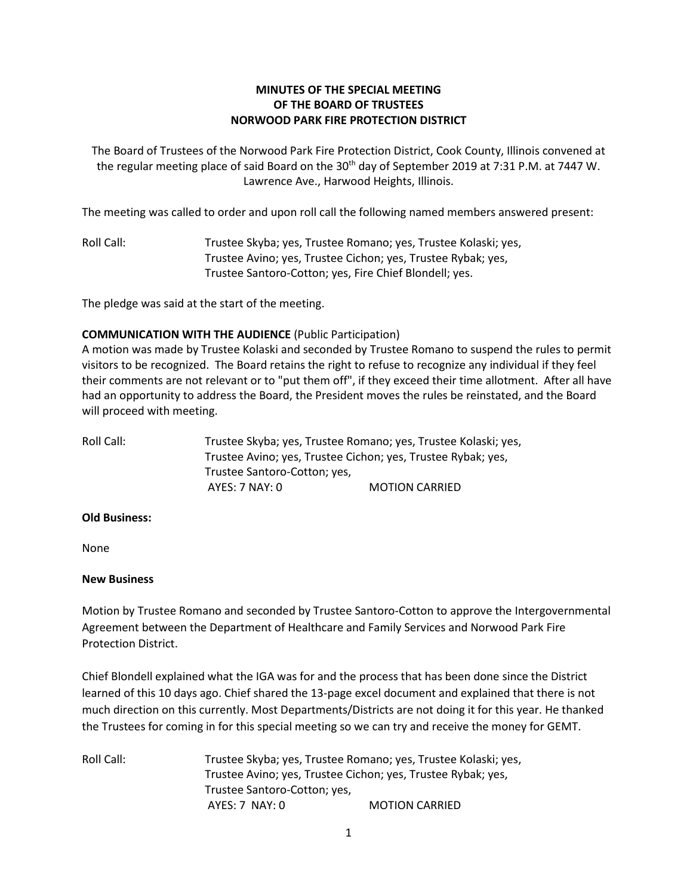## **MINUTES OF THE SPECIAL MEETING OF THE BOARD OF TRUSTEES NORWOOD PARK FIRE PROTECTION DISTRICT**

The Board of Trustees of the Norwood Park Fire Protection District, Cook County, Illinois convened at the regular meeting place of said Board on the 30<sup>th</sup> day of September 2019 at 7:31 P.M. at 7447 W. Lawrence Ave., Harwood Heights, Illinois.

The meeting was called to order and upon roll call the following named members answered present:

Roll Call: Trustee Skyba; yes, Trustee Romano; yes, Trustee Kolaski; yes, Trustee Avino; yes, Trustee Cichon; yes, Trustee Rybak; yes, Trustee Santoro-Cotton; yes, Fire Chief Blondell; yes.

The pledge was said at the start of the meeting.

## **COMMUNICATION WITH THE AUDIENCE** (Public Participation)

A motion was made by Trustee Kolaski and seconded by Trustee Romano to suspend the rules to permit visitors to be recognized. The Board retains the right to refuse to recognize any individual if they feel their comments are not relevant or to "put them off", if they exceed their time allotment. After all have had an opportunity to address the Board, the President moves the rules be reinstated, and the Board will proceed with meeting.

Roll Call: Trustee Skyba; yes, Trustee Romano; yes, Trustee Kolaski; yes, Trustee Avino; yes, Trustee Cichon; yes, Trustee Rybak; yes, Trustee Santoro-Cotton; yes, AYES: 7 NAY: 0 MOTION CARRIED

## **Old Business:**

None

## **New Business**

Motion by Trustee Romano and seconded by Trustee Santoro-Cotton to approve the Intergovernmental Agreement between the Department of Healthcare and Family Services and Norwood Park Fire Protection District.

Chief Blondell explained what the IGA was for and the process that has been done since the District learned of this 10 days ago. Chief shared the 13-page excel document and explained that there is not much direction on this currently. Most Departments/Districts are not doing it for this year. He thanked the Trustees for coming in for this special meeting so we can try and receive the money for GEMT.

Roll Call: Trustee Skyba; yes, Trustee Romano; yes, Trustee Kolaski; yes, Trustee Avino; yes, Trustee Cichon; yes, Trustee Rybak; yes, Trustee Santoro-Cotton; yes, AYES: 7 NAY: 0 **MOTION CARRIED**